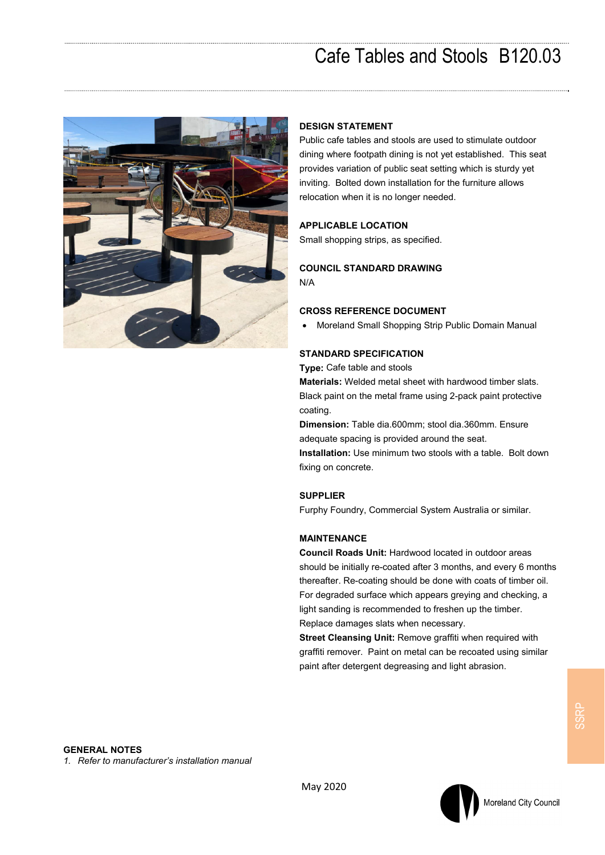## Cafe Tables and Stools B120.03



## **DESIGN STATEMENT**

Public cafe tables and stools are used to stimulate outdoor dining where footpath dining is not yet established. This seat provides variation of public seat setting which is sturdy yet inviting. Bolted down installation for the furniture allows relocation when it is no longer needed.

## **APPLICABLE LOCATION**

Small shopping strips, as specified.

### **COUNCIL STANDARD DRAWING**  N/A

#### **CROSS REFERENCE DOCUMENT**

Moreland Small Shopping Strip Public Domain Manual

#### **STANDARD SPECIFICATION**

**Type:** Cafe table and stools

**Materials:** Welded metal sheet with hardwood timber slats. Black paint on the metal frame using 2-pack paint protective coating.

**Dimension:** Table dia.600mm; stool dia.360mm. Ensure adequate spacing is provided around the seat.

**Installation:** Use minimum two stools with a table. Bolt down fixing on concrete.

#### **SUPPLIER**

Furphy Foundry, Commercial System Australia or similar.

## **MAINTENANCE**

**Council Roads Unit:** Hardwood located in outdoor areas should be initially re-coated after 3 months, and every 6 months thereafter. Re-coating should be done with coats of timber oil. For degraded surface which appears greying and checking, a light sanding is recommended to freshen up the timber. Replace damages slats when necessary.

**Street Cleansing Unit:** Remove graffiti when required with graffiti remover. Paint on metal can be recoated using similar paint after detergent degreasing and light abrasion.

## **GENERAL NOTES**

*1. Refer to manufacturer's installation manual*